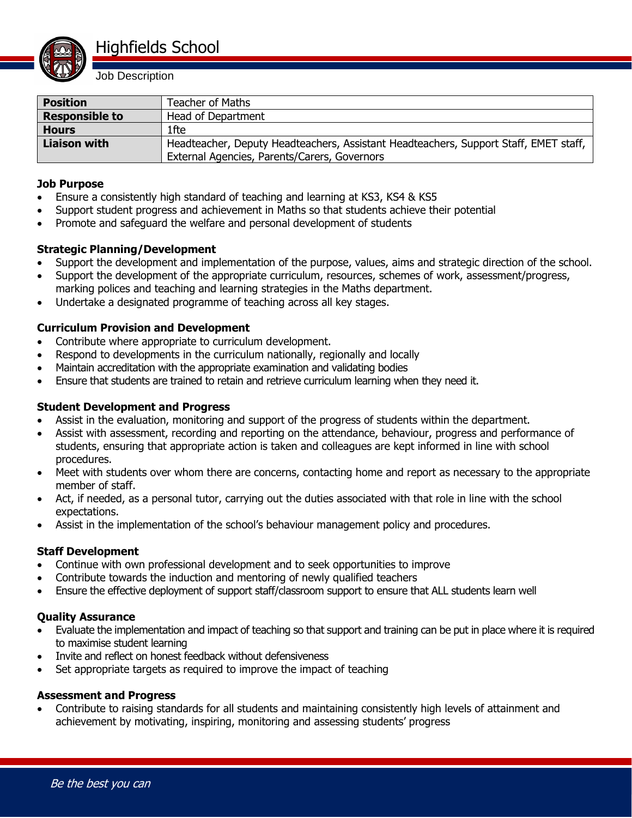

Job Description

| <b>Position</b>       | Teacher of Maths                                                                     |
|-----------------------|--------------------------------------------------------------------------------------|
| <b>Responsible to</b> | Head of Department                                                                   |
| <b>Hours</b>          | 1fte                                                                                 |
| Liaison with          | Headteacher, Deputy Headteachers, Assistant Headteachers, Support Staff, EMET staff, |
|                       | External Agencies, Parents/Carers, Governors                                         |

### **Job Purpose**

- Ensure a consistently high standard of teaching and learning at KS3, KS4 & KS5
- Support student progress and achievement in Maths so that students achieve their potential
- Promote and safeguard the welfare and personal development of students

# **Strategic Planning/Development**

- Support the development and implementation of the purpose, values, aims and strategic direction of the school.
- Support the development of the appropriate curriculum, resources, schemes of work, assessment/progress, marking polices and teaching and learning strategies in the Maths department.
- Undertake a designated programme of teaching across all key stages.

# **Curriculum Provision and Development**

- Contribute where appropriate to curriculum development.
- Respond to developments in the curriculum nationally, regionally and locally
- Maintain accreditation with the appropriate examination and validating bodies
- Ensure that students are trained to retain and retrieve curriculum learning when they need it.

### **Student Development and Progress**

- Assist in the evaluation, monitoring and support of the progress of students within the department.
- Assist with assessment, recording and reporting on the attendance, behaviour, progress and performance of students, ensuring that appropriate action is taken and colleagues are kept informed in line with school procedures.
- Meet with students over whom there are concerns, contacting home and report as necessary to the appropriate member of staff.
- Act, if needed, as a personal tutor, carrying out the duties associated with that role in line with the school expectations.
- Assist in the implementation of the school's behaviour management policy and procedures.

# **Staff Development**

- Continue with own professional development and to seek opportunities to improve
- Contribute towards the induction and mentoring of newly qualified teachers
- Ensure the effective deployment of support staff/classroom support to ensure that ALL students learn well

#### **Quality Assurance**

- Evaluate the implementation and impact of teaching so that support and training can be put in place where it is required to maximise student learning
- Invite and reflect on honest feedback without defensiveness
- Set appropriate targets as required to improve the impact of teaching

#### **Assessment and Progress**

 Contribute to raising standards for all students and maintaining consistently high levels of attainment and achievement by motivating, inspiring, monitoring and assessing students' progress